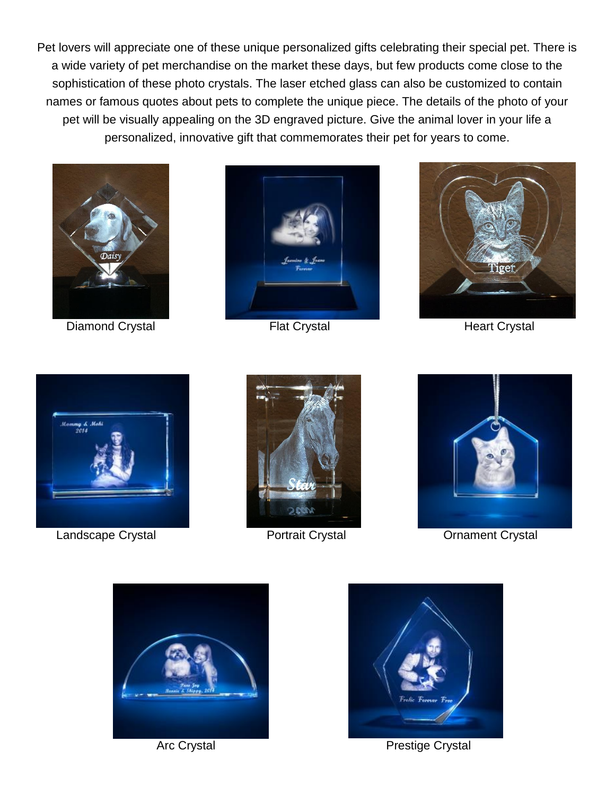Pet lovers will appreciate one of these unique personalized gifts celebrating their special pet. There is a wide variety of pet merchandise on the market these days, but few products come close to the sophistication of these photo crystals. The laser etched glass can also be customized to contain names or famous quotes about pets to complete the unique piece. The details of the photo of your pet will be visually appealing on the 3D engraved picture. Give the animal lover in your life a personalized, innovative gift that commemorates their pet for years to come.



Diamond Crystal **[Flat](http://www.3dlasergifts.com/create-your-own-crystals/3d-photo-crystals-by-recipient/for-pet-lovers/for-pet-lovers-flat.html) Crystal** Flat Crystal Heart Crystal







Landscape Crystal **Crystal Crystal [Portrait](http://www.3dlasergifts.com/create-your-own-crystals/3d-photo-crystals-by-recipient/for-pet-lovers/for-pet-lovers-portrait.html) Crystal** Crystal Ornament Crystal









Arc Crystal **Prestige Crystal**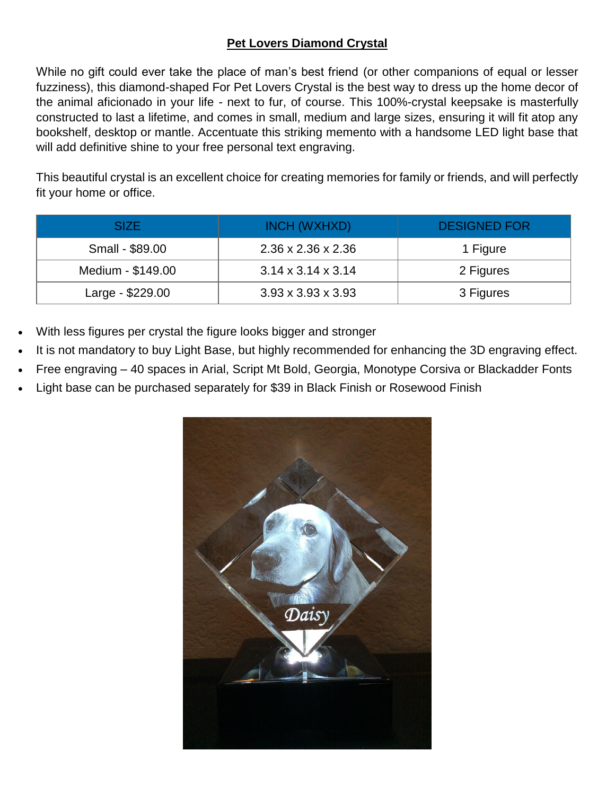# **Pet Lovers Diamond Crystal**

While no gift could ever take the place of man's best friend (or other companions of equal or lesser fuzziness), this diamond-shaped For Pet Lovers Crystal is the best way to dress up the home decor of the animal aficionado in your life - next to fur, of course. This 100%-crystal keepsake is masterfully constructed to last a lifetime, and comes in small, medium and large sizes, ensuring it will fit atop any bookshelf, desktop or mantle. Accentuate this striking memento with a handsome LED light base that will add definitive shine to your free personal text engraving.

This beautiful crystal is an excellent choice for creating memories for family or friends, and will perfectly fit your home or office.

| SIZE.             | INCH (WXHXD)                   | <b>DESIGNED FOR</b> |
|-------------------|--------------------------------|---------------------|
| Small - \$89.00   | $2.36 \times 2.36 \times 2.36$ | 1 Figure            |
| Medium - \$149.00 | $3.14 \times 3.14 \times 3.14$ | 2 Figures           |
| Large - \$229.00  | $3.93 \times 3.93 \times 3.93$ | 3 Figures           |

- With less figures per crystal the figure looks bigger and stronger
- It is not mandatory to buy Light Base, but highly recommended for enhancing the 3D engraving effect.
- Free engraving 40 spaces in Arial, Script Mt Bold, Georgia, Monotype Corsiva or Blackadder Fonts
- Light base can be purchased separately for \$39 in Black Finish or Rosewood Finish

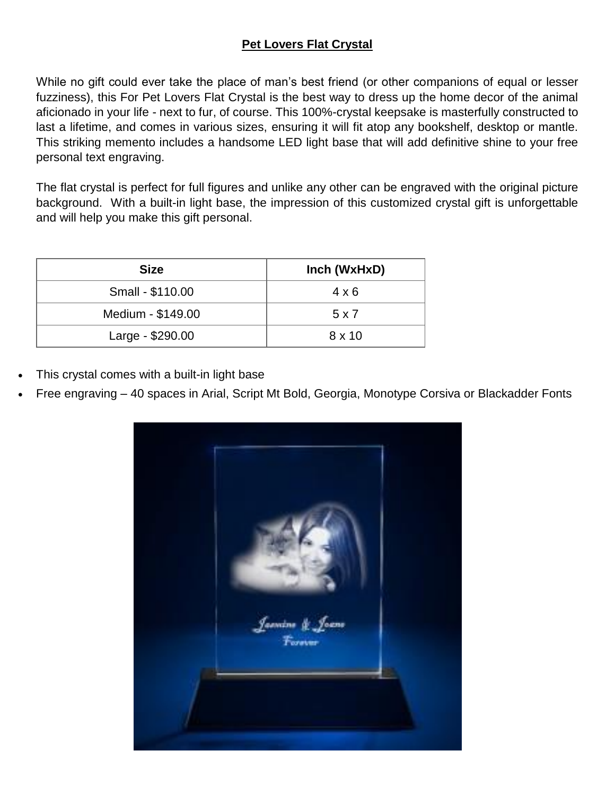# **Pet Lovers Flat Crystal**

While no gift could ever take the place of man's best friend (or other companions of equal or lesser fuzziness), this For Pet Lovers Flat Crystal is the best way to dress up the home decor of the animal aficionado in your life - next to fur, of course. This 100%-crystal keepsake is masterfully constructed to last a lifetime, and comes in various sizes, ensuring it will fit atop any bookshelf, desktop or mantle. This striking memento includes a handsome LED light base that will add definitive shine to your free personal text engraving.

The flat crystal is perfect for full figures and unlike any other can be engraved with the original picture background. With a built-in light base, the impression of this customized crystal gift is unforgettable and will help you make this gift personal.

| <b>Size</b>       | Inch (WxHxD)  |
|-------------------|---------------|
| Small - \$110.00  | $4 \times 6$  |
| Medium - \$149.00 | 5 x 7         |
| Large - \$290.00  | $8 \times 10$ |

- This crystal comes with a built-in light base
- Free engraving 40 spaces in Arial, Script Mt Bold, Georgia, Monotype Corsiva or Blackadder Fonts

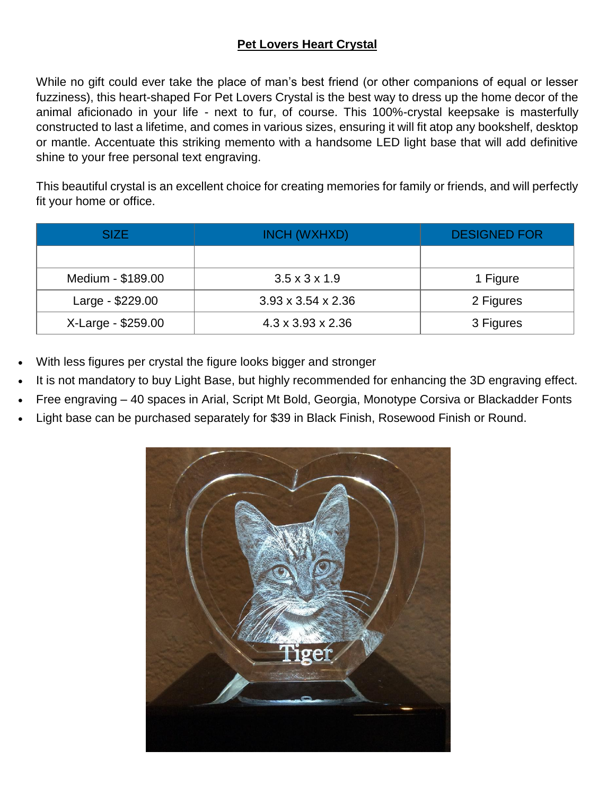# **Pet Lovers Heart Crystal**

While no gift could ever take the place of man's best friend (or other companions of equal or lesser fuzziness), this heart-shaped For Pet Lovers Crystal is the best way to dress up the home decor of the animal aficionado in your life - next to fur, of course. This 100%-crystal keepsake is masterfully constructed to last a lifetime, and comes in various sizes, ensuring it will fit atop any bookshelf, desktop or mantle. Accentuate this striking memento with a handsome LED light base that will add definitive shine to your free personal text engraving.

This beautiful crystal is an excellent choice for creating memories for family or friends, and will perfectly fit your home or office.

| <b>SIZE</b>        | INCH (WXHXD)                   | <b>DESIGNED FOR</b> |
|--------------------|--------------------------------|---------------------|
|                    |                                |                     |
| Medium - \$189.00  | $3.5 \times 3 \times 1.9$      | 1 Figure            |
| Large - \$229.00   | $3.93 \times 3.54 \times 2.36$ | 2 Figures           |
| X-Large - \$259.00 | $4.3 \times 3.93 \times 2.36$  | 3 Figures           |

- With less figures per crystal the figure looks bigger and stronger
- It is not mandatory to buy Light Base, but highly recommended for enhancing the 3D engraving effect.
- Free engraving 40 spaces in Arial, Script Mt Bold, Georgia, Monotype Corsiva or Blackadder Fonts
- Light base can be purchased separately for \$39 in Black Finish, Rosewood Finish or Round.

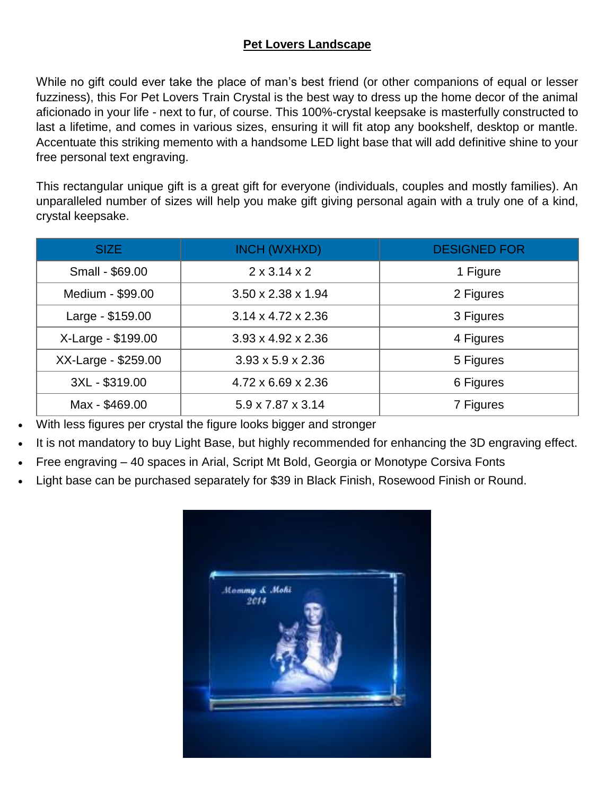#### **Pet Lovers Landscape**

While no gift could ever take the place of man's best friend (or other companions of equal or lesser fuzziness), this For Pet Lovers Train Crystal is the best way to dress up the home decor of the animal aficionado in your life - next to fur, of course. This 100%-crystal keepsake is masterfully constructed to last a lifetime, and comes in various sizes, ensuring it will fit atop any bookshelf, desktop or mantle. Accentuate this striking memento with a handsome LED light base that will add definitive shine to your free personal text engraving.

This rectangular unique gift is a great gift for everyone (individuals, couples and mostly families). An unparalleled number of sizes will help you make gift giving personal again with a truly one of a kind, crystal keepsake.

| <b>SIZE</b>         | <b>INCH (WXHXD)</b>            | <b>DESIGNED FOR</b> |
|---------------------|--------------------------------|---------------------|
| Small - \$69.00     | $2 \times 3.14 \times 2$       | 1 Figure            |
| Medium - \$99.00    | $3.50 \times 2.38 \times 1.94$ | 2 Figures           |
| Large - \$159.00    | $3.14 \times 4.72 \times 2.36$ | 3 Figures           |
| X-Large - \$199.00  | $3.93 \times 4.92 \times 2.36$ | 4 Figures           |
| XX-Large - \$259.00 | $3.93 \times 5.9 \times 2.36$  | 5 Figures           |
| 3XL - \$319.00      | $4.72 \times 6.69 \times 2.36$ | 6 Figures           |
| Max - \$469.00      | $5.9 \times 7.87 \times 3.14$  | 7 Figures           |

- With less figures per crystal the figure looks bigger and stronger
- It is not mandatory to buy Light Base, but highly recommended for enhancing the 3D engraving effect.
- Free engraving 40 spaces in Arial, Script Mt Bold, Georgia or Monotype Corsiva Fonts
- Light base can be purchased separately for \$39 in Black Finish, Rosewood Finish or Round.

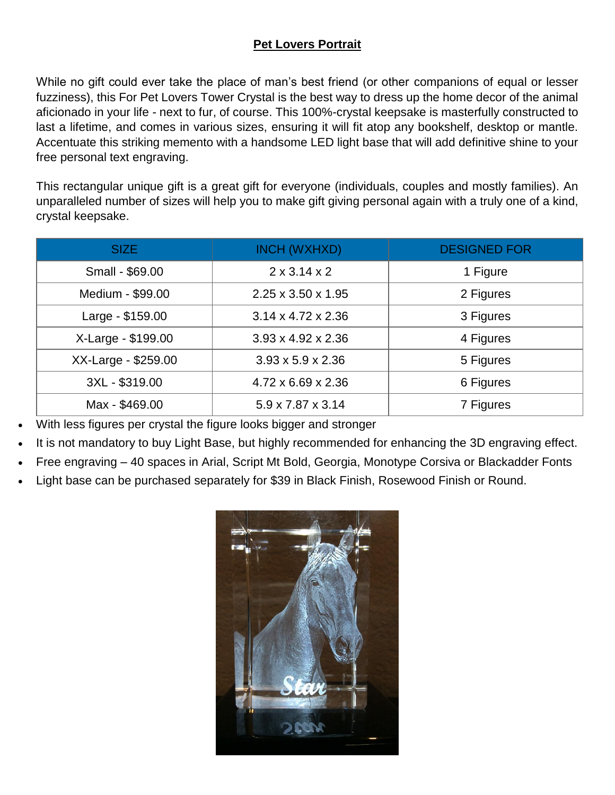## **Pet Lovers Portrait**

While no gift could ever take the place of man's best friend (or other companions of equal or lesser fuzziness), this For Pet Lovers Tower Crystal is the best way to dress up the home decor of the animal aficionado in your life - next to fur, of course. This 100%-crystal keepsake is masterfully constructed to last a lifetime, and comes in various sizes, ensuring it will fit atop any bookshelf, desktop or mantle. Accentuate this striking memento with a handsome LED light base that will add definitive shine to your free personal text engraving.

This rectangular unique gift is a great gift for everyone (individuals, couples and mostly families). An unparalleled number of sizes will help you to make gift giving personal again with a truly one of a kind, crystal keepsake.

| <b>SIZE</b>         | INCH (WXHXD)                   | <b>DESIGNED FOR</b> |
|---------------------|--------------------------------|---------------------|
| Small - \$69.00     | $2 \times 3.14 \times 2$       | 1 Figure            |
| Medium - \$99.00    | $2.25 \times 3.50 \times 1.95$ | 2 Figures           |
| Large - \$159.00    | $3.14 \times 4.72 \times 2.36$ | 3 Figures           |
| X-Large - \$199.00  | $3.93 \times 4.92 \times 2.36$ | 4 Figures           |
| XX-Large - \$259.00 | $3.93 \times 5.9 \times 2.36$  | 5 Figures           |
| 3XL - \$319.00      | $4.72 \times 6.69 \times 2.36$ | 6 Figures           |
| Max - \$469.00      | 5.9 x 7.87 x 3.14              | 7 Figures           |

With less figures per crystal the figure looks bigger and stronger

It is not mandatory to buy Light Base, but highly recommended for enhancing the 3D engraving effect.

Free engraving – 40 spaces in Arial, Script Mt Bold, Georgia, Monotype Corsiva or Blackadder Fonts

Light base can be purchased separately for \$39 in Black Finish, Rosewood Finish or Round.

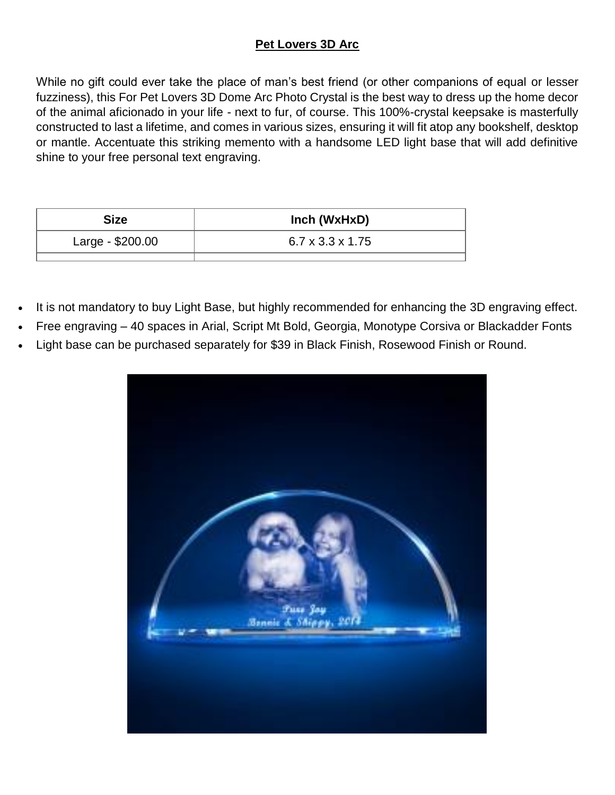# **Pet Lovers 3D Arc**

While no gift could ever take the place of man's best friend (or other companions of equal or lesser fuzziness), this For Pet Lovers 3D Dome Arc Photo Crystal is the best way to dress up the home decor of the animal aficionado in your life - next to fur, of course. This 100%-crystal keepsake is masterfully constructed to last a lifetime, and comes in various sizes, ensuring it will fit atop any bookshelf, desktop or mantle. Accentuate this striking memento with a handsome LED light base that will add definitive shine to your free personal text engraving.

| <b>Size</b>      | Inch (WxHxD)                 |
|------------------|------------------------------|
| Large - \$200.00 | $6.7 \times 3.3 \times 1.75$ |

- It is not mandatory to buy Light Base, but highly recommended for enhancing the 3D engraving effect.
- Free engraving 40 spaces in Arial, Script Mt Bold, Georgia, Monotype Corsiva or Blackadder Fonts
- Light base can be purchased separately for \$39 in Black Finish, Rosewood Finish or Round.

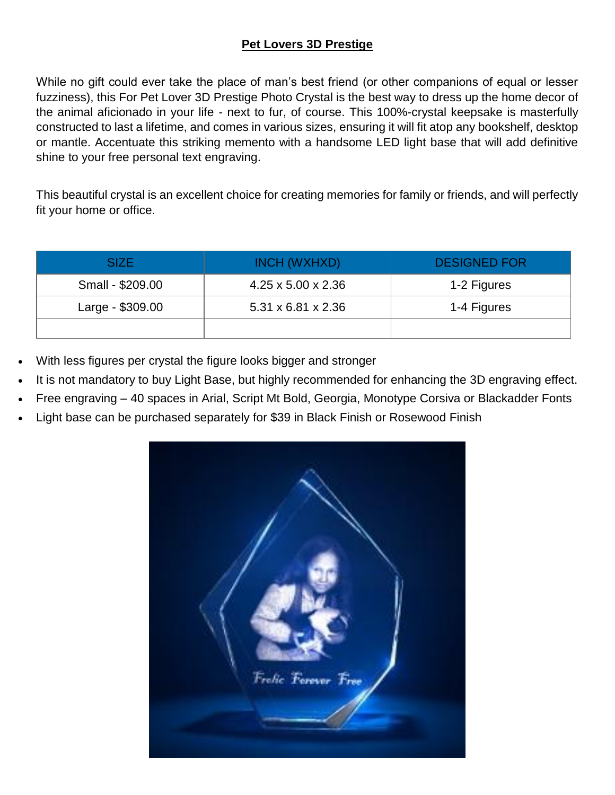## **Pet Lovers 3D Prestige**

While no gift could ever take the place of man's best friend (or other companions of equal or lesser fuzziness), this For Pet Lover 3D Prestige Photo Crystal is the best way to dress up the home decor of the animal aficionado in your life - next to fur, of course. This 100%-crystal keepsake is masterfully constructed to last a lifetime, and comes in various sizes, ensuring it will fit atop any bookshelf, desktop or mantle. Accentuate this striking memento with a handsome LED light base that will add definitive shine to your free personal text engraving.

This beautiful crystal is an excellent choice for creating memories for family or friends, and will perfectly fit your home or office.

| SIZE             | INCH (WXHXD)                   | <b>DESIGNED FOR</b> |
|------------------|--------------------------------|---------------------|
| Small - \$209.00 | $4.25 \times 5.00 \times 2.36$ | 1-2 Figures         |
| Large - \$309.00 | $5.31 \times 6.81 \times 2.36$ | 1-4 Figures         |
|                  |                                |                     |

- With less figures per crystal the figure looks bigger and stronger
- It is not mandatory to buy Light Base, but highly recommended for enhancing the 3D engraving effect.
- Free engraving 40 spaces in Arial, Script Mt Bold, Georgia, Monotype Corsiva or Blackadder Fonts
- Light base can be purchased separately for \$39 in Black Finish or Rosewood Finish

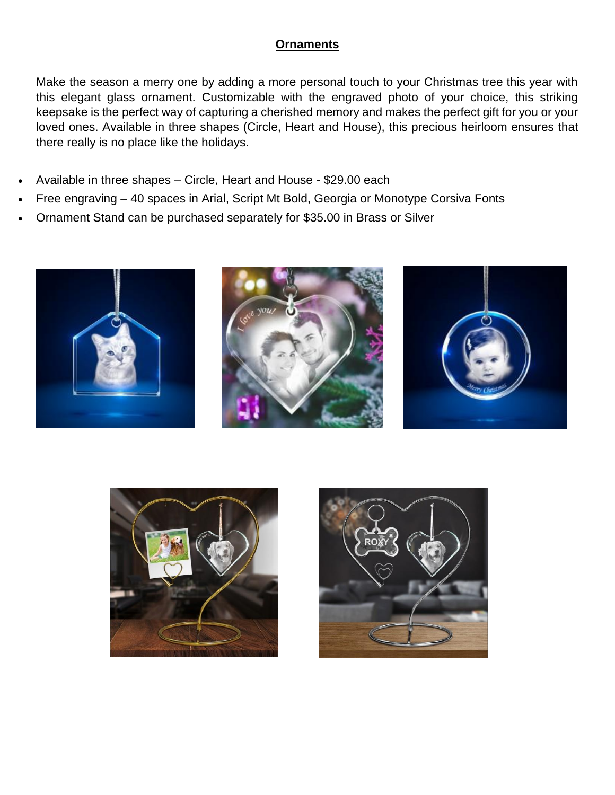#### **Ornaments**

Make the season a merry one by adding a more personal touch to your Christmas tree this year with this elegant glass ornament. Customizable with the engraved photo of your choice, this striking keepsake is the perfect way of capturing a cherished memory and makes the perfect gift for you or your loved ones. Available in three shapes (Circle, Heart and House), this precious heirloom ensures that there really is no place like the holidays.

- Available in three shapes Circle, Heart and House \$29.00 each
- Free engraving 40 spaces in Arial, Script Mt Bold, Georgia or Monotype Corsiva Fonts
- Ornament Stand can be purchased separately for \$35.00 in Brass or Silver





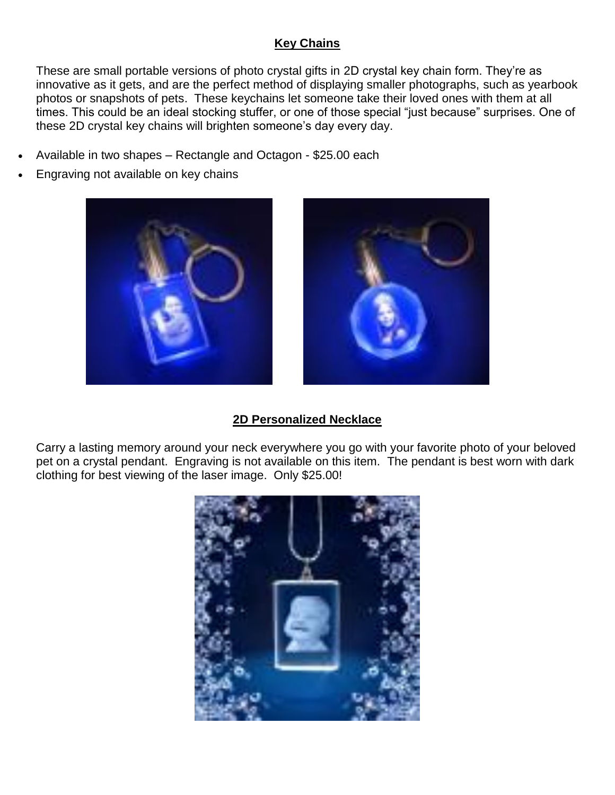## **Key Chains**

These are small portable versions of photo crystal gifts in 2D crystal key chain form. They're as innovative as it gets, and are the perfect method of displaying smaller photographs, such as yearbook photos or snapshots of pets. These keychains let someone take their loved ones with them at all times. This could be an ideal stocking stuffer, or one of those special "just because" surprises. One of these 2D crystal key chains will brighten someone's day every day.

- Available in two shapes Rectangle and Octagon \$25.00 each
- Engraving not available on key chains





## **2D Personalized Necklace**

Carry a lasting memory around your neck everywhere you go with your favorite photo of your beloved pet on a crystal pendant. Engraving is not available on this item. The pendant is best worn with dark clothing for best viewing of the laser image. Only \$25.00!